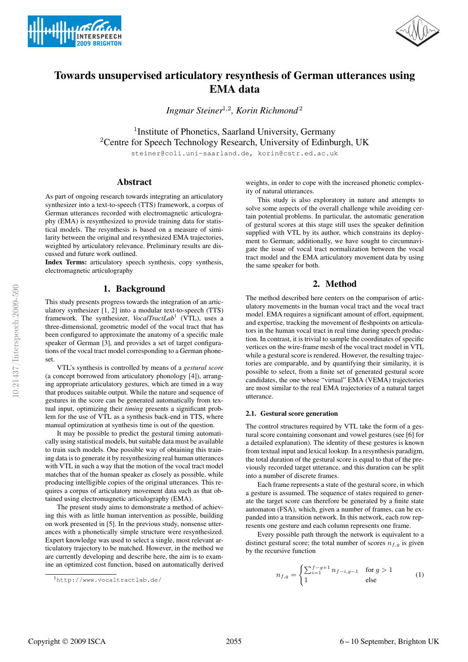



# Towards unsupervised articulatory resynthesis of German utterances using EMA data

*Ingmar Steiner*<sup>1</sup>,<sup>2</sup> *, Korin Richmond* <sup>2</sup>

<sup>1</sup> Institute of Phonetics, Saarland University, Germany <sup>2</sup>Centre for Speech Technology Research, University of Edinburgh, UK

steiner@coli.uni-saarland.de, korin@cstr.ed.ac.uk

# Abstract

As part of ongoing research towards integrating an articulatory synthesizer into a text-to-speech (TTS) framework, a corpus of German utterances recorded with electromagnetic articulography (EMA) is resynthesized to provide training data for statistical models. The resynthesis is based on a measure of similarity between the original and resynthesized EMA trajectories, weighted by articulatory relevance. Preliminary results are discussed and future work outlined.

Index Terms: articulatory speech synthesis, copy synthesis, electromagnetic articulography

# 1. Background

This study presents progress towards the integration of an articulatory synthesizer [1, 2] into a modular text-to-speech (TTS) framework. The synthesizer, *VocalTractLab*<sup>1</sup> (VTL), uses a three-dimensional, geometric model of the vocal tract that has been configured to approximate the anatomy of a specific male speaker of German [3], and provides a set of target configurations of the vocal tract model corresponding to a German phoneset.

VTL's synthesis is controlled by means of a *gestural score* (a concept borrowed from articulatory phonology [4]), arranging appropriate articulatory gestures, which are timed in a way that produces suitable output. While the nature and sequence of gestures in the score can be generated automatically from textual input, optimizing their *timing* presents a significant problem for the use of VTL as a synthesis back-end in TTS, where manual optimization at synthesis time is out of the question.

It may be possible to predict the gestural timing automatically using statistical models, but suitable data must be available to train such models. One possible way of obtaining this training data is to generate it by resynthesizing real human utterances with VTL in such a way that the motion of the vocal tract model matches that of the human speaker as closely as possible, while producing intelligible copies of the original utterances. This requires a corpus of articulatory movement data such as that obtained using electromagnetic articulography (EMA).

The present study aims to demonstrate a method of achieving this with as little human intervention as possible, building on work presented in [5]. In the previous study, nonsense utterances with a phonetically simple structure were resynthesized. Expert knowledge was used to select a single, most relevant articulatory trajectory to be matched. However, in the method we are currently developing and describe here, the aim is to examine an optimized cost function, based on automatically derived

weights, in order to cope with the increased phonetic complexity of natural utterances.

This study is also exploratory in nature and attempts to solve some aspects of the overall challenge while avoiding certain potential problems. In particular, the automatic generation of gestural scores at this stage still uses the speaker definition supplied with VTL by its author, which constrains its deployment to German; additionally, we have sought to circumnavigate the issue of vocal tract normalization between the vocal tract model and the EMA articulatory movement data by using the same speaker for both.

## 2. Method

The method described here centers on the comparison of articulatory movements in the human vocal tract and the vocal tract model. EMA requires a significant amount of effort, equipment, and expertise, tracking the movement of fleshpoints on articulators in the human vocal tract in real time during speech production. In contrast, it is trivial to sample the coordinates of specific vertices on the wire-frame mesh of the vocal tract model in VTL while a gestural score is rendered. However, the resulting trajectories are comparable, and by quantifying their similarity, it is possible to select, from a finite set of generated gestural score candidates, the one whose "virtual" EMA (VEMA) trajectories are most similar to the real EMA trajectories of a natural target utterance.

#### 2.1. Gestural score generation

The control structures required by VTL take the form of a gestural score containing consonant and vowel gestures (see [6] for a detailed explanation). The identity of these gestures is known from textual input and lexical lookup. In a resynthesis paradigm, the total duration of the gestural score is equal to that of the previously recorded target utterance, and this duration can be split into a number of discrete frames.

Each frame represents a state of the gestural score, in which a gesture is assumed. The sequence of states required to generate the target score can therefore be generated by a finite state automaton (FSA), which, given a number of frames, can be expanded into a transition network. In this network, each row represents one gesture and each column represents one frame.

Every possible path through the network is equivalent to a distinct gestural score; the total number of scores  $n_{f,q}$  is given by the recursive function

$$
n_{f,g} = \begin{cases} \sum_{i=1}^{f-g+1} n_{f-i,g-1} & \text{for } g > 1\\ 1 & \text{else} \end{cases} \tag{1}
$$

<sup>1</sup>http://www.vocaltractlab.de/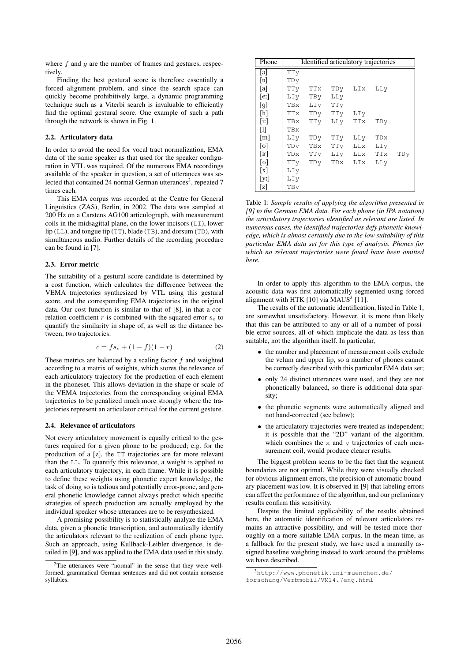where  $f$  and  $g$  are the number of frames and gestures, respectively.

Finding the best gestural score is therefore essentially a forced alignment problem, and since the search space can quickly become prohibitively large, a dynamic programming technique such as a Viterbi search is invaluable to efficiently find the optimal gestural score. One example of such a path through the network is shown in Fig. 1.

#### 2.2. Articulatory data

In order to avoid the need for vocal tract normalization, EMA data of the same speaker as that used for the speaker configuration in VTL was required. Of the numerous EMA recordings available of the speaker in question, a set of utterances was selected that contained 24 normal German utterances<sup>2</sup>, repeated 7 times each.

This EMA corpus was recorded at the Centre for General Linguistics (ZAS), Berlin, in 2002. The data was sampled at 200 Hz on a Carstens AG100 articulograph, with measurement coils in the midsagittal plane, on the lower incisors  $(LI)$ , lower  $lip$  (LL), and tongue tip (TT), blade (TB), and dorsum (TD), with simultaneous audio. Further details of the recording procedure can be found in [7].

#### 2.3. Error metric

The suitability of a gestural score candidate is determined by a cost function, which calculates the difference between the VEMA trajectories synthesized by VTL using this gestural score, and the corresponding EMA trajectories in the original data. Our cost function is similar to that of [8], in that a correlation coefficient  $r$  is combined with the squared error  $s_e$  to quantify the similarity in shape of, as well as the distance between, two trajectories.

$$
c = fs_e + (1 - f)(1 - r)
$$
 (2)

These metrics are balanced by a scaling factor  $f$  and weighted according to a matrix of weights, which stores the relevance of each articulatory trajectory for the production of each element in the phoneset. This allows deviation in the shape or scale of the VEMA trajectories from the corresponding original EMA trajectories to be penalized much more strongly where the trajectories represent an articulator critical for the current gesture.

#### 2.4. Relevance of articulators

Not every articulatory movement is equally critical to the gestures required for a given phone to be produced; e.g. for the production of a [z], the TT trajectories are far more relevant than the LL. To quantify this relevance, a weight is applied to each articulatory trajectory, in each frame. While it is possible to define these weights using phonetic expert knowledge, the task of doing so is tedious and potentially error-prone, and general phonetic knowledge cannot always predict which specific strategies of speech production are actually employed by the individual speaker whose utterances are to be resynthesized.

A promising possibility is to statistically analyze the EMA data, given a phonetic transcription, and automatically identify the articulators relevant to the realization of each phone type. Such an approach, using Kullback-Leibler divergence, is detailed in [9], and was applied to the EMA data used in this study.

| Phone                | Identified articulatory trajectories |     |     |             |     |     |
|----------------------|--------------------------------------|-----|-----|-------------|-----|-----|
| [ə]                  | TTy                                  |     |     |             |     |     |
| $\lbrack v \rbrack$  | TDy                                  |     |     |             |     |     |
| [a]                  | TTy                                  | TTx |     | TDy LIx     | LLy |     |
| [e:]                 | LIy                                  | TBy | LLy |             |     |     |
| [g]                  | TBx                                  | LIV | TTy |             |     |     |
| [h]                  | <b>TTx</b>                           | TDy | TTy | LIy         |     |     |
| $\lceil$ iː $\rceil$ | TBx                                  | TTy |     | LLy TTx     | TDy |     |
| M                    | TBx                                  |     |     |             |     |     |
| $\lceil m \rceil$    | LIy                                  | TDy | TTy | LLy         | TDx |     |
| $\lceil$ o]          | TDy                                  | TBx | TTy | LLx         | LIy |     |
| $\lfloor$ R]         | TDx                                  | TTy |     | LIV LLX TTX |     | TDy |
| [ʊ]                  | TTy                                  | TDy | TDx | LIx         | LLy |     |
| $\lceil x \rceil$    | LIy                                  |     |     |             |     |     |
| [yː]                 | LIy                                  |     |     |             |     |     |
| [z]                  | TBy                                  |     |     |             |     |     |

Table 1: *Sample results of applying the algorithm presented in [9] to the German EMA data. For each phone (in IPA notation) the articulatory trajectories identified as relevant are listed. In numerous cases, the identified trajectories defy phonetic knowledge, which is almost certainly due to the low suitability of this particular EMA data set for this type of analysis. Phones for which no relevant trajectories were found have been omitted here.*

In order to apply this algorithm to the EMA corpus, the acoustic data was first automatically segmented using forced alignment with HTK  $[10]$  via MAUS<sup>3</sup>  $[11]$ .

The results of the automatic identification, listed in Table 1, are somewhat unsatisfactory. However, it is more than likely that this can be attributed to any or all of a number of possible error sources, all of which implicate the data as less than suitable, not the algorithm itself. In particular,

- the number and placement of measurement coils exclude the velum and upper lip, so a number of phones cannot be correctly described with this particular EMA data set;
- only 24 distinct utterances were used, and they are not phonetically balanced, so there is additional data sparsity;
- the phonetic segments were automatically aligned and not hand-corrected (see below);
- the articulatory trajectories were treated as independent; it is possible that the "2D" variant of the algorithm, which combines the x and y trajectories of each measurement coil, would produce clearer results.

The biggest problem seems to be the fact that the segment boundaries are not optimal. While they were visually checked for obvious alignment errors, the precision of automatic boundary placement was low. It is observed in [9] that labeling errors can affect the performance of the algorithm, and our preliminary results confirm this sensitivity.

Despite the limited applicability of the results obtained here, the automatic identification of relevant articulators remains an attractive possibility, and will be tested more thoroughly on a more suitable EMA corpus. In the mean time, as a fallback for the present study, we have used a manually assigned baseline weighting instead to work around the problems we have described.

<sup>&</sup>lt;sup>2</sup>The utterances were "normal" in the sense that they were wellformed, grammatical German sentences and did not contain nonsense syllables.

 $3$ http://www.phonetik.uni-muenchen.de/ forschung/Verbmobil/VM14.7eng.html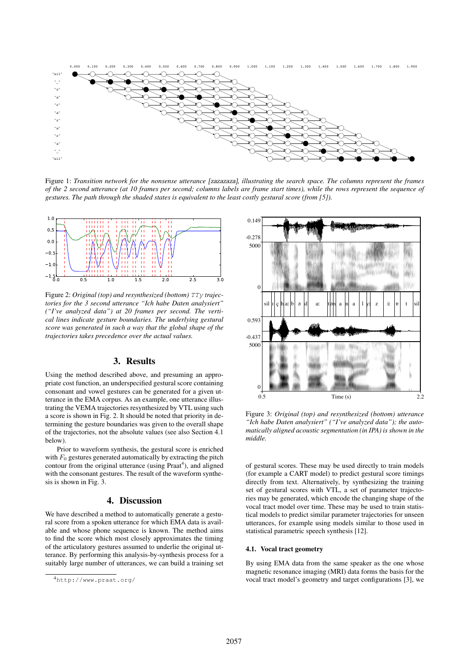

Figure 1: *Transition network for the nonsense utterance* [zazazaza]*, illustrating the search space. The columns represent the frames of the 2 second utterance (at 10 frames per second; columns labels are frame start times), while the rows represent the sequence of gestures. The path through the shaded states is equivalent to the least costly gestural score (from [5]).*



Figure 2: *Original (top) and resynthesized (bottom)* TTy *trajectories for the 3 second utterance "Ich habe Daten analysiert" ("I've analyzed data") at 20 frames per second. The vertical lines indicate gesture boundaries. The underlying gestural score was generated in such a way that the global shape of the trajectories takes precedence over the actual values.*

# 3. Results

Using the method described above, and presuming an appropriate cost function, an underspecified gestural score containing consonant and vowel gestures can be generated for a given utterance in the EMA corpus. As an example, one utterance illustrating the VEMA trajectories resynthesized by VTL using such a score is shown in Fig. 2. It should be noted that priority in determining the gesture boundaries was given to the overall shape of the trajectories, not the absolute values (see also Section 4.1 below).

Prior to waveform synthesis, the gestural score is enriched with  $F_0$  gestures generated automatically by extracting the pitch contour from the original utterance (using Praat<sup>4</sup>), and aligned with the consonant gestures. The result of the waveform synthesis is shown in Fig. 3.

#### 4. Discussion

We have described a method to automatically generate a gestural score from a spoken utterance for which EMA data is available and whose phone sequence is known. The method aims to find the score which most closely approximates the timing of the articulatory gestures assumed to underlie the original utterance. By performing this analysis-by-synthesis process for a suitably large number of utterances, we can build a training set



Figure 3: *Original (top) and resynthesized (bottom) utterance "Ich habe Daten analysiert" ("I've analyzed data"); the automatically aligned acoustic segmentation (in IPA) is shown in the middle.*

of gestural scores. These may be used directly to train models (for example a CART model) to predict gestural score timings directly from text. Alternatively, by synthesizing the training set of gestural scores with VTL, a set of parameter trajectories may be generated, which encode the changing shape of the vocal tract model over time. These may be used to train statistical models to predict similar parameter trajectories for unseen utterances, for example using models similar to those used in statistical parametric speech synthesis [12].

#### 4.1. Vocal tract geometry

By using EMA data from the same speaker as the one whose magnetic resonance imaging (MRI) data forms the basis for the vocal tract model's geometry and target configurations [3], we

<sup>4</sup>http://www.praat.org/